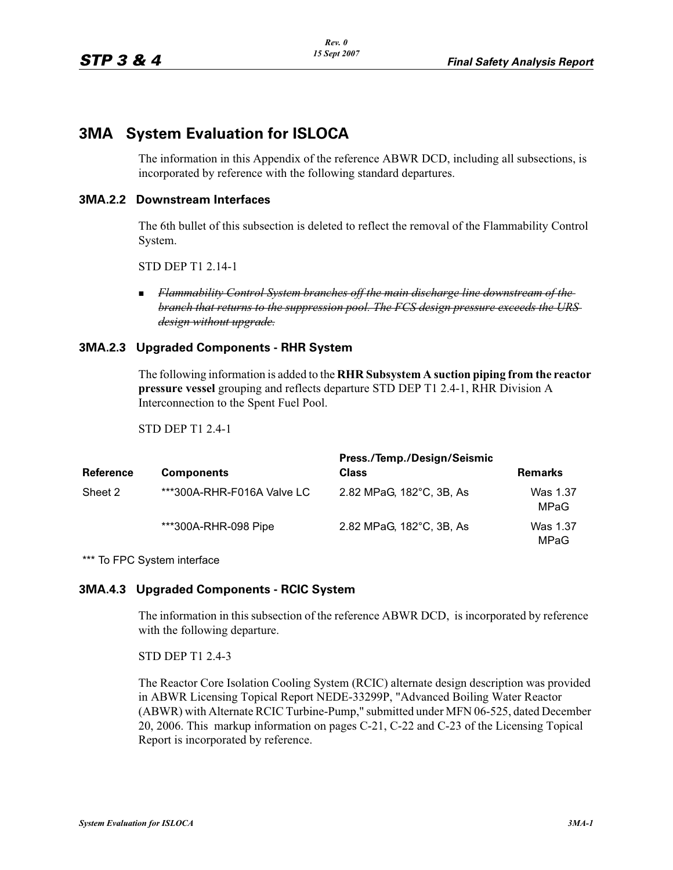# **3MA System Evaluation for ISLOCA**

The information in this Appendix of the reference ABWR DCD, including all subsections, is incorporated by reference with the following standard departures.

# **3MA.2.2 Downstream Interfaces**

The 6th bullet of this subsection is deleted to reflect the removal of the Flammability Control System.

STD DEP T1 2.14-1

- *Flammability Control System branches off the main discharge line downstream of the branch that returns to the suppression pool. The FCS design pressure exceeds the URS design without upgrade.*

# **3MA.2.3 Upgraded Components - RHR System**

The following information is added to the **RHR Subsystem A suction piping from the reactor pressure vessel** grouping and reflects departure STD DEP T1 2.4-1, RHR Division A Interconnection to the Spent Fuel Pool.

STD DEP T1 2.4-1

| <b>Reference</b> | <b>Components</b>          | Press./Temp./Design/Seismic<br>Class | <b>Remarks</b>   |
|------------------|----------------------------|--------------------------------------|------------------|
| Sheet 2          | ***300A-RHR-F016A Valve LC | 2.82 MPaG, 182°C, 3B, As             | Was 1.37<br>MPaG |
|                  | ***300A-RHR-098 Pipe       | 2.82 MPaG, 182°C, 3B, As             | Was 1.37<br>MPaG |

\*\*\* To FPC System interface

### **3MA.4.3 Upgraded Components - RCIC System**

The information in this subsection of the reference ABWR DCD, is incorporated by reference with the following departure.

STD DEP T1 2.4-3

The Reactor Core Isolation Cooling System (RCIC) alternate design description was provided in ABWR Licensing Topical Report NEDE-33299P, "Advanced Boiling Water Reactor (ABWR) with Alternate RCIC Turbine-Pump," submitted under MFN 06-525, dated December 20, 2006. This markup information on pages C-21, C-22 and C-23 of the Licensing Topical Report is incorporated by reference.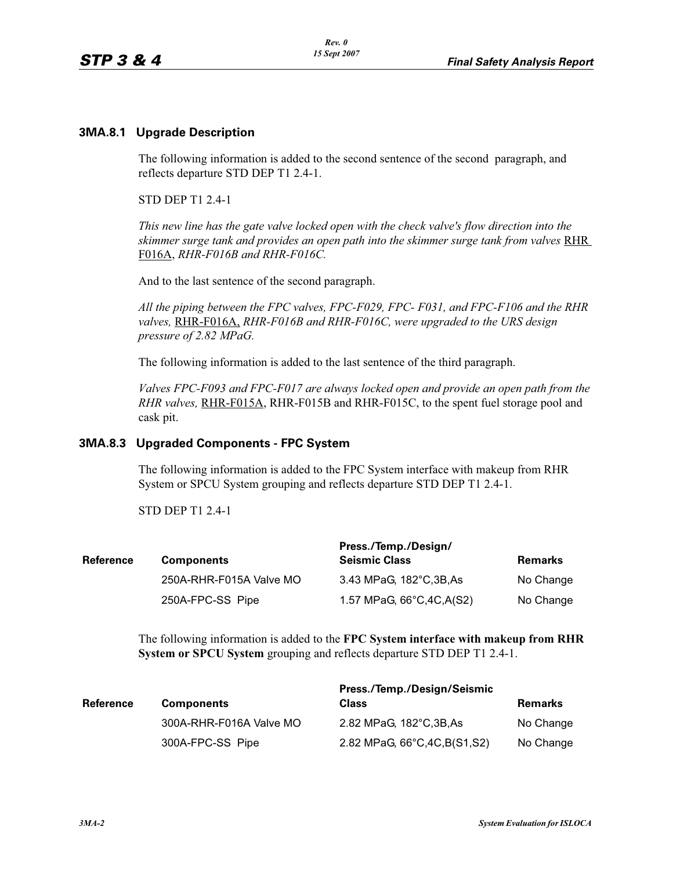### **3MA.8.1 Upgrade Description**

The following information is added to the second sentence of the second paragraph, and reflects departure STD DEP T1 2.4-1.

STD DEP T1 2.4-1

*This new line has the gate valve locked open with the check valve's flow direction into the skimmer surge tank and provides an open path into the skimmer surge tank from valves* RHR F016A, *RHR-F016B and RHR-F016C.*

And to the last sentence of the second paragraph.

*All the piping between the FPC valves, FPC-F029, FPC- F031, and FPC-F106 and the RHR valves,* RHR-F016A, *RHR-F016B and RHR-F016C, were upgraded to the URS design pressure of 2.82 MPaG.*

The following information is added to the last sentence of the third paragraph.

*Valves FPC-F093 and FPC-F017 are always locked open and provide an open path from the RHR valves,* RHR-F015A, RHR-F015B and RHR-F015C, to the spent fuel storage pool and cask pit.

### **3MA.8.3 Upgraded Components - FPC System**

The following information is added to the FPC System interface with makeup from RHR System or SPCU System grouping and reflects departure STD DEP T1 2.4-1.

STD DEP T1 2.4-1

| Reference |                         | Press./Temp./Design/       |                |
|-----------|-------------------------|----------------------------|----------------|
|           | <b>Components</b>       | <b>Seismic Class</b>       | <b>Remarks</b> |
|           | 250A-RHR-F015A Valve MO | 3.43 MPaG, 182°C, 3B, As   | No Change      |
|           | 250A-FPC-SS Pipe        | 1.57 MPaG, 66°C, 4C, A(S2) | No Change      |
|           |                         |                            |                |

The following information is added to the **FPC System interface with makeup from RHR System or SPCU System** grouping and reflects departure STD DEP T1 2.4-1.

|                         | Press./Temp./Design/Seismic    |                |
|-------------------------|--------------------------------|----------------|
| <b>Components</b>       | <b>Class</b>                   | <b>Remarks</b> |
| 300A-RHR-F016A Valve MO | 2.82 MPaG, 182°C, 3B, As       | No Change      |
| 300A-FPC-SS Pipe        | 2.82 MPaG, 66°C, 4C, B(S1, S2) | No Change      |
|                         |                                |                |